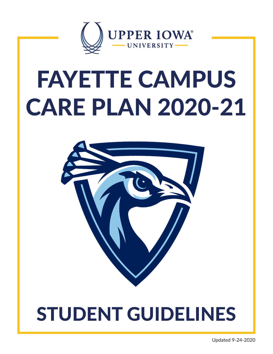

# FAYETTE CAMPUS CARE PLAN 2020-21



## STUDENT GUIDELINES

Updated 9-24-2020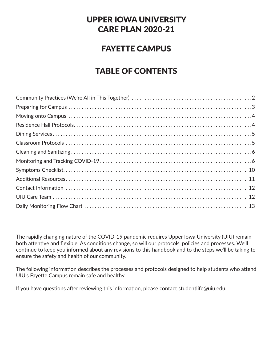## UPPER IOWA UNIVERSITY CARE PLAN 2020-21

## FAYETTE CAMPUS

## TABLE OF CONTENTS

The rapidly changing nature of the COVID-19 pandemic requires Upper Iowa University (UIU) remain both attentive and flexible. As conditions change, so will our protocols, policies and processes. We'll continue to keep you informed about any revisions to this handbook and to the steps we'll be taking to ensure the safety and health of our community.

The following information describes the processes and protocols designed to help students who attend UIU's Fayette Campus remain safe and healthy.

If you have questions after reviewing this information, please contact studentlife@uiu.edu.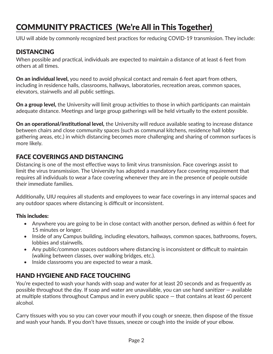## COMMUNITY PRACTICES (We're All in This Together)

UIU will abide by commonly recognized best practices for reducing COVID-19 transmission. They include:

## DISTANCING

When possible and practical, individuals are expected to maintain a distance of at least 6 feet from others at all times.

**On an individual level,** you need to avoid physical contact and remain 6 feet apart from others, including in residence halls, classrooms, hallways, laboratories, recreation areas, common spaces, elevators, stairwells and all public settings.

**On a group level,** the University will limit group activities to those in which participants can maintain adequate distance. Meetings and large group gatherings will be held virtually to the extent possible.

On an operational/institutional level, the University will reduce available seating to increase distance between chairs and close community spaces (such as communal kitchens, residence hall lobby gathering areas, etc.) in which distancing becomes more challenging and sharing of common surfaces is more likely.

## FACE COVERINGS AND DISTANCING

Distancing is one of the most effective ways to limit virus transmission. Face coverings assist to limit the virus transmission. The University has adopted a mandatory face covering requirement that requires all individuals to wear a face covering whenever they are in the presence of people outside their immediate families.

Additionally, UIU requires all students and employees to wear face coverings in any internal spaces and any outdoor spaces where distancing is difficult or inconsistent.

#### This includes:

- Anywhere you are going to be in close contact with another person, defined as within 6 feet for 15 minutes or longer.
- Inside of any Campus building, including elevators, hallways, common spaces, bathrooms, foyers, lobbies and stairwells.
- Any public/common spaces outdoors where distancing is inconsistent or difficult to maintain (walking between classes, over walking bridges, etc.).
- Inside classrooms you are expected to wear a mask.

## HAND HYGIENE AND FACE TOUCHING

You're expected to wash your hands with soap and water for at least 20 seconds and as frequently as possible throughout the day. If soap and water are unavailable, you can use hand sanitizer — available at multiple stations throughout Campus and in every public space — that contains at least 60 percent alcohol.

Carry tissues with you so you can cover your mouth if you cough or sneeze, then dispose of the tissue and wash your hands. If you don't have tissues, sneeze or cough into the inside of your elbow.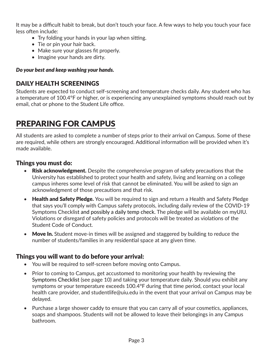It may be a difficult habit to break, but don't touch your face. A few ways to help you touch your face less often include:

- Try folding your hands in your lap when sitting.
- Tie or pin your hair back.
- Make sure your glasses fit properly.
- Imagine your hands are dirty.

#### *Do your best and keep washing your hands.*

## DAILY HEALTH SCREENINGS

Students are expected to conduct self-screening and temperature checks daily. Any student who has a temperature of 100.4°F or higher, or is experiencing any unexplained symptoms should reach out by email, chat or phone to the Student Life office.

## PREPARING FOR CAMPUS

All students are asked to complete a number of steps prior to their arrival on Campus. Some of these are required, while others are strongly encouraged. Additional information will be provided when it's made available.

## Things you must do:

- Risk acknowledgment. Despite the comprehensive program of safety precautions that the University has established to protect your health and safety, living and learning on a college campus inheres some level of risk that cannot be eliminated. You will be asked to sign an acknowledgment of those precautions and that risk.
- Health and Safety Pledge. You will be required to sign and return a Health and Safety Pledge that says you'll comply with Campus safety protocols, including daily review of the COVID-19 Symptoms Checklist and possibly a daily temp check. The pledge will be available on myUIU. Violations or disregard of safety policies and protocols will be treated as violations of the Student Code of Conduct.
- Move In. Student move-in times will be assigned and staggered by building to reduce the number of students/families in any residential space at any given time.

## Things you will want to do before your arrival:

- You will be required to self-screen before moving onto Campus.
- Prior to coming to Campus, get accustomed to monitoring your health by reviewing the Symptoms Checklist (see page 10) and taking your temperature daily. Should you exhibit any symptoms or your temperature exceeds 100.4°F during that time period, contact your local health care provider, and studentlife@uiu.edu in the event that your arrival on Campus may be delayed.
- Purchase a large shower caddy to ensure that you can carry all of your cosmetics, appliances, soaps and shampoos. Students will not be allowed to leave their belongings in any Campus bathroom.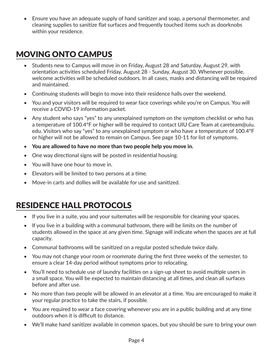• Ensure you have an adequate supply of hand sanitizer and soap, a personal thermometer, and cleaning supplies to sanitize flat surfaces and frequently touched items such as doorknobs within your residence.

## MOVING ONTO CAMPUS

- Students new to Campus will move in on Friday, August 28 and Saturday, August 29, with orientation activities scheduled Friday, August 28 - Sunday, August 30. Whenever possible, welcome activities will be scheduled outdoors. In all cases, masks and distancing will be required and maintained.
- Continuing students will begin to move into their residence halls over the weekend.
- You and your visitors will be required to wear face coverings while you're on Campus. You will receive a COVID-19 information packet.
- Any student who says "yes" to any unexplained symptom on the symptom checklist or who has a temperature of 100.4°F or higher will be required to contact UIU Care Team at careteam@uiu. edu. Visitors who say "yes" to any unexplained symptom or who have a temperature of 100.4°F or higher will not be allowed to remain on Campus. See page 10-11 for list of symptoms.
- You are allowed to have no more than two people help you move in.
- One way directional signs will be posted in residential housing.
- You will have one hour to move in.
- Elevators will be limited to two persons at a time.
- Move-in carts and dollies will be available for use and sanitized.

## RESIDENCE HALL PROTOCOLS

- If you live in a suite, you and your suitemates will be responsible for cleaning your spaces.
- If you live in a building with a communal bathroom, there will be limits on the number of students allowed in the space at any given time. Signage will indicate when the spaces are at full capacity.
- Communal bathrooms will be sanitized on a regular posted schedule twice daily.
- You may not change your room or roommate during the first three weeks of the semester, to ensure a clear 14-day period without symptoms prior to relocating.
- You'll need to schedule use of laundry facilities on a sign-up sheet to avoid multiple users in a small space. You will be expected to maintain distancing at all times, and clean all surfaces before and after use.
- No more than two people will be allowed in an elevator at a time. You are encouraged to make it your regular practice to take the stairs, if possible.
- You are required to wear a face covering whenever you are in a public building and at any time outdoors when it is difficult to distance.
- We'll make hand sanitizer available in common spaces, but you should be sure to bring your own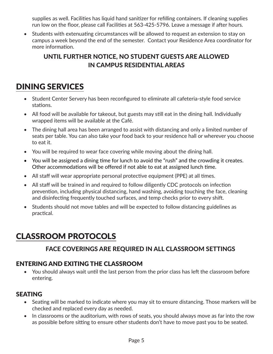supplies as well. Facilities has liquid hand sanitizer for refilling containers. If cleaning supplies run low on the floor, please call Facilities at 563-425-5796. Leave a message if after hours.

Students with extenuating circumstances will be allowed to request an extension to stay on campus a week beyond the end of the semester. Contact your Residence Area coordinator for more information.

## UNTIL FURTHER NOTICE, NO STUDENT GUESTS ARE ALLOWED IN CAMPUS RESIDENTIAL AREAS

## DINING SERVICES

- Student Center Servery has been reconfigured to eliminate all cafeteria-style food service stations.
- All food will be available for takeout, but guests may still eat in the dining hall. Individually wrapped items will be available at the Café.
- The dining hall area has been arranged to assist with distancing and only a limited number of seats per table. You can also take your food back to your residence hall or wherever you choose to eat it.
- You will be required to wear face covering while moving about the dining hall.
- You will be assigned a dining time for lunch to avoid the "rush" and the crowding it creates. Other accommodations will be offered if not able to eat at assigned lunch time.
- All staff will wear appropriate personal protective equipment (PPE) at all times.
- All staff will be trained in and required to follow diligently CDC protocols on infection prevention, including physical distancing, hand washing, avoiding touching the face, cleaning and disinfecting frequently touched surfaces, and temp checks prior to every shift.
- Students should not move tables and will be expected to follow distancing guidelines as practical.

## CLASSROOM PROTOCOLS

## FACE COVERINGS ARE REQUIRED IN ALL CLASSROOM SETTINGS

## ENTERING AND EXITING THE CLASSROOM

• You should always wait until the last person from the prior class has left the classroom before entering.

## SEATING

- Seating will be marked to indicate where you may sit to ensure distancing. Those markers will be checked and replaced every day as needed.
- In classrooms or the auditorium, with rows of seats, you should always move as far into the row as possible before sitting to ensure other students don't have to move past you to be seated.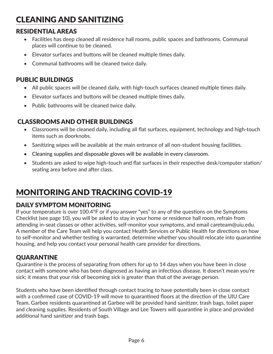## CLEANING AND SANITIZING

## RESIDENTIAL AREAS

- Facilities has deep cleaned all residence hall rooms, public spaces and bathrooms. Communal places will continue to be cleaned.
- Elevator surfaces and buttons will be cleaned multiple times daily.
- Communal bathrooms will be cleaned twice daily.

## PUBLIC BUILDINGS

- All public spaces will be cleaned daily, with high-touch surfaces cleaned multiple times daily.
- Elevator surfaces and buttons will be cleaned multiple times daily.
- Public bathrooms will be cleaned twice daily.

## CLASSROOMS AND OTHER BUILDINGS

- • Classrooms will be cleaned daily, including all flat surfaces, equipment, technology and high-touch items such as doorknobs.
- Sanitizing wipes will be available at the main entrance of all non-student housing facilities.
- Cleaning supplies and disposable gloves will be available in every classroom.
- • Students are asked to wipe high-touch and flat surfaces in their respective desk/computer station/ seating area before and after class.

## MONITORING AND TRACKING COVID-19

## DAILY SYMPTOM MONITORING

If your temperature is over 100.4°F or if you answer "yes" to any of the questions on the Symptoms Checklist (see page 10), you will be asked to stay in your home or residence hall room, refrain from attending in-seat classes or other activities, self-monitor your symptoms, and email careteam@uiu.edu. A member of the Care Team will help you contact Health Services or Public Health for directions on how to self-monitor and whether testing is warranted, determine whether you should relocate into quarantine housing, and help you contact your personal health care provider for directions.

## QUARANTINE

Quarantine is the process of separating from others for up to 14 days when you have been in close contact with someone who has been diagnosed as having an infectious disease. It doesn't mean you're sick; it means that your risk of becoming sick is greater than that of the average person.

Students who have been identified through contact tracing to have potentially been in close contact with a confirmed case of COVID-19 will move to quarantined floors at the direction of the UIU Care Team. Garbee residents quarantined at Garbee will be provided hand sanitizer, trash bags, toilet paper and cleaning supplies. Residents of South Village and Lee Towers will quarantine in place and provided additional hand sanitizer and trash bags.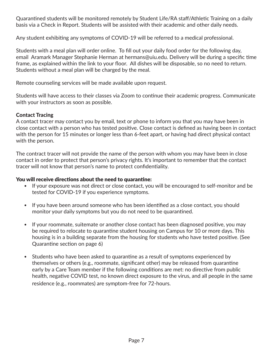Quarantined students will be monitored remotely by Student Life/RA staff/Athletic Training on a daily basis via a Check in Report. Students will be assisted with their academic and other daily needs.

Any student exhibiting any symptoms of COVID-19 will be referred to a medical professional.

Students with a meal plan will order online. To fill out your daily food order for the following day, email Aramark Manager Stephanie Herman at hermans@uiu.edu. Delivery will be during a specific time frame, as explained within the link to your floor. All dishes will be disposable, so no need to return. Students without a meal plan will be charged by the meal.

Remote counseling services will be made available upon request.

Students will have access to their classes via Zoom to continue their academic progress. Communicate with your instructors as soon as possible.

#### Contact Tracing

A contact tracer may contact you by email, text or phone to inform you that you may have been in close contact with a person who has tested positive. Close contact is defined as having been in contact with the person for 15 minutes or longer less than 6-feet apart, or having had direct physical contact with the person.

The contract tracer will not provide the name of the person with whom you may have been in close contact in order to protect that person's privacy rights. It's important to remember that the contact tracer will not know that person's name to protect confidentiality.

#### You will receive directions about the need to quarantine:

- If your exposure was not direct or close contact, you will be encouraged to self-monitor and be tested for COVID-19 if you experience symptoms.
- If you have been around someone who has been identified as a close contact, you should monitor your daily symptoms but you do not need to be quarantined.
- If your roommate, suitemate or another close contact has been diagnosed positive, you may be required to relocate to quarantine student housing on Campus for 10 or more days. This housing is in a building separate from the housing for students who have tested positive. (See Quarantine section on page 6)
- Students who have been asked to quarantine as a result of symptoms experienced by themselves or others (e.g., roommate, significant other) may be released from quarantine early by a Care Team member if the following conditions are met: no directive from public health, negative COVID test, no known direct exposure to the virus, and all people in the same residence (e.g., roommates) are symptom-free for 72-hours.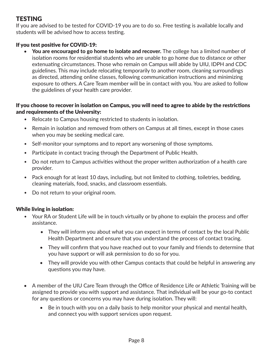## **TESTING**

If you are advised to be tested for COVID-19 you are to do so. Free testing is available locally and students will be advised how to access testing.

#### If you test positive for COVID-19:

You are encouraged to go home to isolate and recover. The college has a limited number of isolation rooms for residential students who are unable to go home due to distance or other extenuating circumstances. Those who remain on Campus will abide by UIU, IDPH and CDC guidelines. This may include relocating temporarily to another room, cleaning surroundings as directed, attending online classes, following communication instructions and minimizing exposure to others. A Care Team member will be in contact with you. You are asked to follow the guidelines of your health care provider.

#### If you choose to recover in isolation on Campus, you will need to agree to abide by the restrictions and requirements of the University:

- Relocate to Campus housing restricted to students in isolation.
- Remain in isolation and removed from others on Campus at all times, except in those cases when you may be seeking medical care.
- Self-monitor your symptoms and to report any worsening of those symptoms.
- Participate in contact tracing through the Department of Public Health.
- Do not return to Campus activities without the proper written authorization of a health care provider.
- Pack enough for at least 10 days, including, but not limited to clothing, toiletries, bedding, cleaning materials, food, snacks, and classroom essentials.
- Do not return to your original room.

#### While living in isolation:

- Your RA or Student Life will be in touch virtually or by phone to explain the process and offer assistance.
	- They will inform you about what you can expect in terms of contact by the local Public Health Department and ensure that you understand the process of contact tracing.
	- They will confirm that you have reached out to your family and friends to determine that you have support or will ask permission to do so for you.
	- They will provide you with other Campus contacts that could be helpful in answering any questions you may have.
- A member of the UIU Care Team through the Office of Residence Life or Athletic Training will be assigned to provide you with support and assistance. That individual will be your go-to contact for any questions or concerns you may have during isolation. They will:
	- Be in touch with you on a daily basis to help monitor your physical and mental health, and connect you with support services upon request.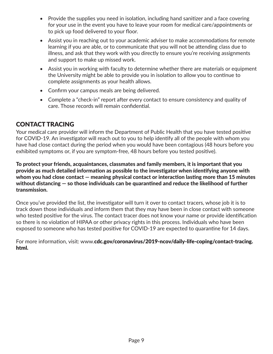- Provide the supplies you need in isolation, including hand sanitizer and a face covering for your use in the event you have to leave your room for medical care/appointments or to pick up food delivered to your floor.
- Assist you in reaching out to your academic adviser to make accommodations for remote learning if you are able, or to communicate that you will not be attending class due to illness, and ask that they work with you directly to ensure you're receiving assignments and support to make up missed work.
- Assist you in working with faculty to determine whether there are materials or equipment the University might be able to provide you in isolation to allow you to continue to complete assignments as your health allows.
- Confirm your campus meals are being delivered.
- Complete a "check-in" report after every contact to ensure consistency and quality of care. Those records will remain confidential.

## CONTACT TRACING

Your medical care provider will inform the Department of Public Health that you have tested positive for COVID-19. An investigator will reach out to you to help identify all of the people with whom you have had close contact during the period when you would have been contagious (48 hours before you exhibited symptoms or, if you are symptom-free, 48 hours before you tested positive).

To protect your friends, acquaintances, classmates and family members, it is important that you provide as much detailed information as possible to the investigator when identifying anyone with whom you had close contact — meaning physical contact or interaction lasting more than 15 minutes without distancing — so those individuals can be quarantined and reduce the likelihood of further transmission.

Once you've provided the list, the investigator will turn it over to contact tracers, whose job it is to track down those individuals and inform them that they may have been in close contact with someone who tested positive for the virus. The contact tracer does not know your name or provide identification so there is no violation of HIPAA or other privacy rights in this process. Individuals who have been exposed to someone who has tested positive for COVID-19 are expected to quarantine for 14 days.

For more information, visit: www.cdc.gov/coronavirus/2019-ncov/daily-life-coping/contact-tracing. html.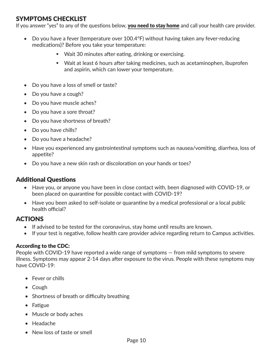## SYMPTOMS CHECKLIST

If you answer "yes" to any of the questions below, you need to stay home and call your health care provider.

- Do you have a fever (temperature over 100.4°F) without having taken any fever-reducing medications)? Before you take your temperature:
	- **Wait 30 minutes after eating, drinking or exercising.**
	- Wait at least 6 hours after taking medicines, such as acetaminophen, ibuprofen and aspirin, which can lower your temperature.
- Do you have a loss of smell or taste?
- Do you have a cough?
- Do you have muscle aches?
- Do you have a sore throat?
- Do you have shortness of breath?
- Do you have chills?
- Do you have a headache?
- Have you experienced any gastrointestinal symptoms such as nausea/vomiting, diarrhea, loss of appetite?
- Do you have a new skin rash or discoloration on your hands or toes?

## Additional Questions

- Have you, or anyone you have been in close contact with, been diagnosed with COVID-19, or been placed on quarantine for possible contact with COVID-19?
- Have you been asked to self-isolate or quarantine by a medical professional or a local public health official?

#### ACTIONS

- If advised to be tested for the coronavirus, stay home until results are known.
- If your test is negative, follow health care provider advice regarding return to Campus activities.

#### According to the CDC:

People with COVID-19 have reported a wide range of symptoms — from mild symptoms to severe illness. Symptoms may appear 2-14 days after exposure to the virus. People with these symptoms may have COVID-19:

- Fever or chills
- Cough
- Shortness of breath or difficulty breathing
- Fatigue
- Muscle or body aches
- Headache
- New loss of taste or smell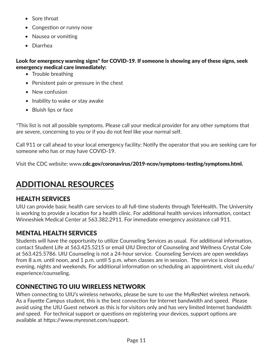- Sore throat
- Congestion or runny nose
- Nausea or vomiting
- Diarrhea

#### Look for emergency warning signs\* for COVID-19. If someone is showing any of these signs, seek emergency medical care immediately:

- Trouble breathing
- Persistent pain or pressure in the chest
- New confusion
- Inability to wake or stay awake
- Bluish lips or face

\*This list is not all possible symptoms. Please call your medical provider for any other symptoms that are severe, concerning to you or if you do not feel like your normal self.

Call 911 or call ahead to your local emergency facility: Notify the operator that you are seeking care for someone who has or may have COVID-19.

Visit the CDC website: www.cdc.gov/coronavirus/2019-ncov/symptoms-testing/symptoms.html.

## ADDITIONAL RESOURCES

## HEALTH SERVICES

UIU can provide basic health care services to all full-time students through TeleHealth. The University is working to provide a location for a health clinic. For additional health services information, contact Winneshiek Medical Center at 563.382.2911. For immediate emergency assistance call 911.

## MENTAL HEALTH SERVICES

Students will have the opportunity to utilize Counseling Services as usual. For additional information, contact Student Life at 563.425.5215 or email UIU Director of Counseling and Wellness Crystal Cole at 563.425.5786. UIU Counseling is not a 24-hour service. Counseling Services are open weekdays from 8 a.m. until noon, and 1 p.m. until 5 p.m. when classes are in session. The service is closed evening, nights and weekends. For additional information on scheduling an appointment, visit uiu.edu/ experience/counseling.

## CONNECTING TO UIU WIRELESS NETWORK

When connecting to UIU's wireless networks, please be sure to use the MyResNet wireless network. As a Fayette Campus student, this is the best connection for Internet bandwidth and speed. Please avoid using the UIU Guest network as this is for visitors only and has very limited Internet bandwidth and speed. For technical support or questions on registering your devices, support options are available at https://www.myresnet.com/support.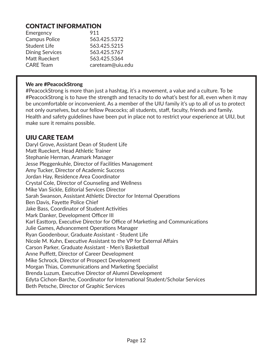## CONTACT INFORMATION

| Emergency              | 911              |
|------------------------|------------------|
| <b>Campus Police</b>   | 563.425.5372     |
| <b>Student Life</b>    | 563.425.5215     |
| <b>Dining Services</b> | 563.425.5767     |
| Matt Rueckert          | 563.425.5364     |
| <b>CARE</b> Team       | careteam@uiu.edu |

#### We are #PeacockStrong

#PeacockStrong is more than just a hashtag, it's a movement, a value and a culture. To be #PeacockStrong is to have the strength and tenacity to do what's best for all, even when it may be uncomfortable or inconvenient. As a member of the UIU family it's up to all of us to protect not only ourselves, but our fellow Peacocks; all students, staff, faculty, friends and family. Health and safety guidelines have been put in place not to restrict your experience at UIU, but make sure it remains possible.

### UIU CARE TEAM

Daryl Grove, Assistant Dean of Student Life Matt Rueckert, Head Athletic Trainer Stephanie Herman, Aramark Manager Jesse Pleggenkuhle, Director of Facilities Management Amy Tucker, Director of Academic Success Jordan Hay, Residence Area Coordinator Crystal Cole, Director of Counseling and Wellness Mike Van Sickle, Editorial Services Director Sarah Swanson, Assistant Athletic Director for Internal Operations Ben Davis, Fayette Police Chief Jake Bass, Coordinator of Student Activities Mark Danker, Development Officer III Karl Easttorp, Executive Director for Office of Marketing and Communications Julie Games, Advancement Operations Manager Ryan Goodenbour, Graduate Assistant - Student Life Nicole M. Kuhn, Executive Assistant to the VP for External Affairs Carson Parker, Graduate Assistant - Men's Basketball Anne Puffett, Director of Career Development Mike Schrock, Director of Prospect Development Morgan Thias, Communications and Marketing Specialist Brenda Luzum, Executive Director of Alumni Development Edyta Cichon-Barche, Coordinator for International Student/Scholar Services Beth Petsche, Director of Graphic Services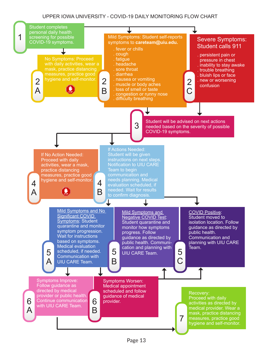#### UPPER IOWA UNIVERSITY - COVID-19 DAILY MONITORING FLOW CHART